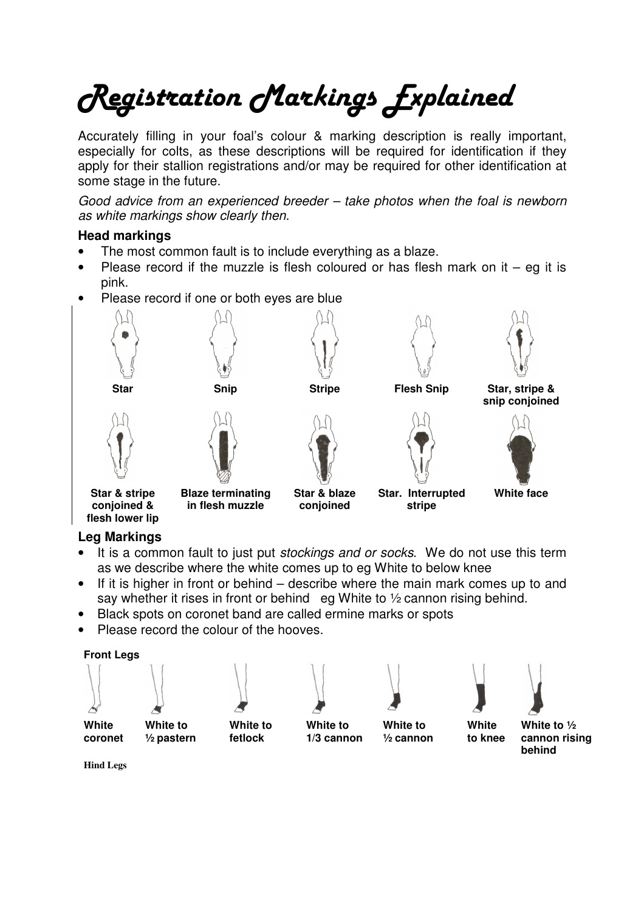## Registration Markings Explained

Accurately filling in your foal's colour & marking description is really important, especially for colts, as these descriptions will be required for identification if they apply for their stallion registrations and/or may be required for other identification at some stage in the future.

Good advice from an experienced breeder – take photos when the foal is newborn as white markings show clearly then.

## **Head markings**

- The most common fault is to include everything as a blaze.
- Please record if the muzzle is flesh coloured or has flesh mark on it  $-$  eg it is pink.
- Please record if one or both eyes are blue



## **Leg Markings**

- It is a common fault to just put stockings and or socks. We do not use this term as we describe where the white comes up to eg White to below knee
- If it is higher in front or behind describe where the main mark comes up to and say whether it rises in front or behind eg White to 1/2 cannon rising behind.
- Black spots on coronet band are called ermine marks or spots
- Please record the colour of the hooves.













**White** 



**White coronet** 

**White to ½ pastern** 

**White to fetlock** 

**White to 1/3 cannon** 

**White to ½ cannon** 

**to knee White to ½ cannon rising behind** 

**Hind Legs**